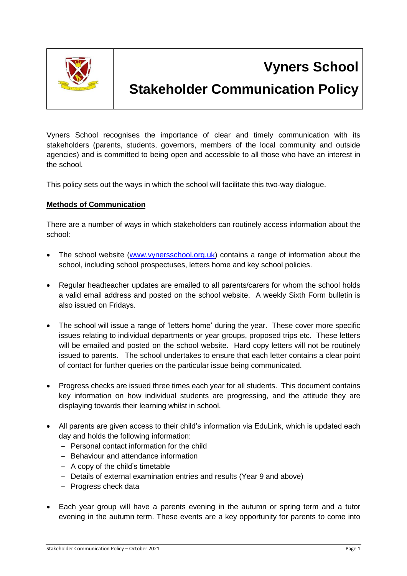

# **Vyners School**

# **Stakeholder Communication Policy**

Vyners School recognises the importance of clear and timely communication with its stakeholders (parents, students, governors, members of the local community and outside agencies) and is committed to being open and accessible to all those who have an interest in the school.

This policy sets out the ways in which the school will facilitate this two-way dialogue.

### **Methods of Communication**

There are a number of ways in which stakeholders can routinely access information about the school:

- The school website [\(www.vynersschool.org.uk\)](http://www.vynersschool.org.uk/) contains a range of information about the school, including school prospectuses, letters home and key school policies.
- Regular headteacher updates are emailed to all parents/carers for whom the school holds a valid email address and posted on the school website. A weekly Sixth Form bulletin is also issued on Fridays.
- The school will issue a range of 'letters home' during the year. These cover more specific issues relating to individual departments or year groups, proposed trips etc. These letters will be emailed and posted on the school website. Hard copy letters will not be routinely issued to parents. The school undertakes to ensure that each letter contains a clear point of contact for further queries on the particular issue being communicated.
- Progress checks are issued three times each year for all students. This document contains key information on how individual students are progressing, and the attitude they are displaying towards their learning whilst in school.
- All parents are given access to their child's information via EduLink, which is updated each day and holds the following information:
	- ‒ Personal contact information for the child
	- ‒ Behaviour and attendance information
	- ‒ A copy of the child's timetable
	- ‒ Details of external examination entries and results (Year 9 and above)
	- Progress check data
- Each year group will have a parents evening in the autumn or spring term and a tutor evening in the autumn term. These events are a key opportunity for parents to come into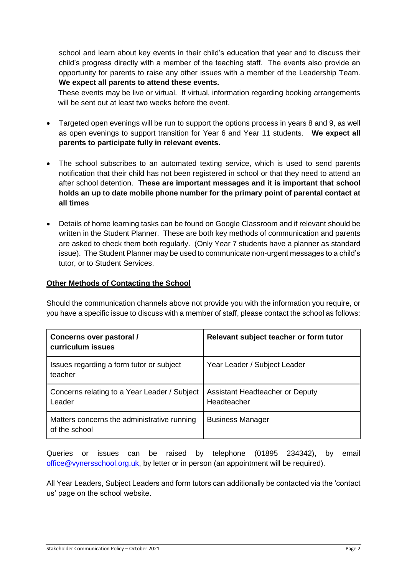school and learn about key events in their child's education that year and to discuss their child's progress directly with a member of the teaching staff. The events also provide an opportunity for parents to raise any other issues with a member of the Leadership Team. **We expect all parents to attend these events.** 

These events may be live or virtual. If virtual, information regarding booking arrangements will be sent out at least two weeks before the event.

- Targeted open evenings will be run to support the options process in years 8 and 9, as well as open evenings to support transition for Year 6 and Year 11 students. **We expect all parents to participate fully in relevant events.**
- The school subscribes to an automated texting service, which is used to send parents notification that their child has not been registered in school or that they need to attend an after school detention. **These are important messages and it is important that school holds an up to date mobile phone number for the primary point of parental contact at all times**
- Details of home learning tasks can be found on Google Classroom and if relevant should be written in the Student Planner. These are both key methods of communication and parents are asked to check them both regularly. (Only Year 7 students have a planner as standard issue). The Student Planner may be used to communicate non-urgent messages to a child's tutor, or to Student Services.

#### **Other Methods of Contacting the School**

Should the communication channels above not provide you with the information you require, or you have a specific issue to discuss with a member of staff, please contact the school as follows:

| Concerns over pastoral /<br>curriculum issues                | Relevant subject teacher or form tutor         |
|--------------------------------------------------------------|------------------------------------------------|
| Issues regarding a form tutor or subject<br>teacher          | Year Leader / Subject Leader                   |
| Concerns relating to a Year Leader / Subject<br>Leader       | Assistant Headteacher or Deputy<br>Headteacher |
| Matters concerns the administrative running<br>of the school | <b>Business Manager</b>                        |

Queries or issues can be raised by telephone (01895 234342), by email [office@vynersschool.org.uk,](mailto:office@vynersschool.org.uk) by letter or in person (an appointment will be required).

All Year Leaders, Subject Leaders and form tutors can additionally be contacted via the 'contact us' page on the school website.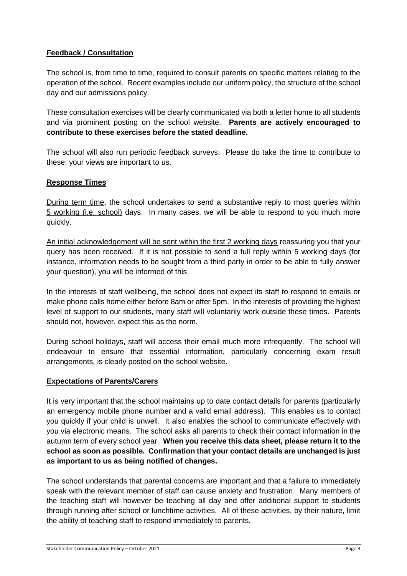## **Feedback / Consultation**

The school is, from time to time, required to consult parents on specific matters relating to the operation of the school. Recent examples include our uniform policy, the structure of the school day and our admissions policy.

These consultation exercises will be clearly communicated via both a letter home to all students and via prominent posting on the school website. **Parents are actively encouraged to contribute to these exercises before the stated deadline.**

The school will also run periodic feedback surveys. Please do take the time to contribute to these; your views are important to us.

### **Response Times**

During term time, the school undertakes to send a substantive reply to most queries within 5 working (i.e. school) days. In many cases, we will be able to respond to you much more quickly.

An initial acknowledgement will be sent within the first 2 working days reassuring you that your query has been received. If it is not possible to send a full reply within 5 working days (for instance, information needs to be sought from a third party in order to be able to fully answer your question), you will be informed of this.

In the interests of staff wellbeing, the school does not expect its staff to respond to emails or make phone calls home either before 8am or after 5pm. In the interests of providing the highest level of support to our students, many staff will voluntarily work outside these times. Parents should not, however, expect this as the norm.

During school holidays, staff will access their email much more infrequently. The school will endeavour to ensure that essential information, particularly concerning exam result arrangements, is clearly posted on the school website.

## **Expectations of Parents/Carers**

It is very important that the school maintains up to date contact details for parents (particularly an emergency mobile phone number and a valid email address). This enables us to contact you quickly if your child is unwell. It also enables the school to communicate effectively with you via electronic means. The school asks all parents to check their contact information in the autumn term of every school year. **When you receive this data sheet, please return it to the school as soon as possible. Confirmation that your contact details are unchanged is just as important to us as being notified of changes.**

The school understands that parental concerns are important and that a failure to immediately speak with the relevant member of staff can cause anxiety and frustration. Many members of the teaching staff will however be teaching all day and offer additional support to students through running after school or lunchtime activities. All of these activities, by their nature, limit the ability of teaching staff to respond immediately to parents.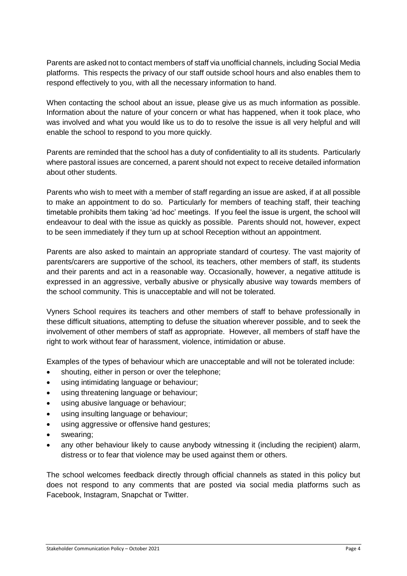Parents are asked not to contact members of staff via unofficial channels, including Social Media platforms. This respects the privacy of our staff outside school hours and also enables them to respond effectively to you, with all the necessary information to hand.

When contacting the school about an issue, please give us as much information as possible. Information about the nature of your concern or what has happened, when it took place, who was involved and what you would like us to do to resolve the issue is all very helpful and will enable the school to respond to you more quickly.

Parents are reminded that the school has a duty of confidentiality to all its students. Particularly where pastoral issues are concerned, a parent should not expect to receive detailed information about other students.

Parents who wish to meet with a member of staff regarding an issue are asked, if at all possible to make an appointment to do so. Particularly for members of teaching staff, their teaching timetable prohibits them taking 'ad hoc' meetings. If you feel the issue is urgent, the school will endeavour to deal with the issue as quickly as possible. Parents should not, however, expect to be seen immediately if they turn up at school Reception without an appointment.

Parents are also asked to maintain an appropriate standard of courtesy. The vast majority of parents/carers are supportive of the school, its teachers, other members of staff, its students and their parents and act in a reasonable way. Occasionally, however, a negative attitude is expressed in an aggressive, verbally abusive or physically abusive way towards members of the school community. This is unacceptable and will not be tolerated.

Vyners School requires its teachers and other members of staff to behave professionally in these difficult situations, attempting to defuse the situation wherever possible, and to seek the involvement of other members of staff as appropriate. However, all members of staff have the right to work without fear of harassment, violence, intimidation or abuse.

Examples of the types of behaviour which are unacceptable and will not be tolerated include:

- shouting, either in person or over the telephone;
- using intimidating language or behaviour;
- using threatening language or behaviour;
- using abusive language or behaviour;
- using insulting language or behaviour;
- using aggressive or offensive hand gestures;
- swearing;
- any other behaviour likely to cause anybody witnessing it (including the recipient) alarm, distress or to fear that violence may be used against them or others.

The school welcomes feedback directly through official channels as stated in this policy but does not respond to any comments that are posted via social media platforms such as Facebook, Instagram, Snapchat or Twitter.